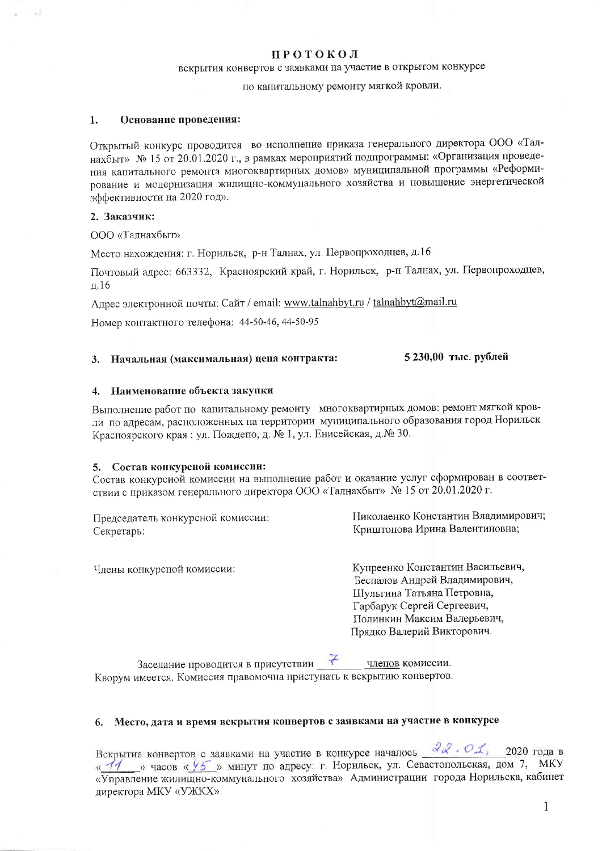#### **ПРОТОКОЛ**

# вскрытия конвертов с заявками на участие в открытом конкурсе

# по капитальному ремонту мягкой кровли.

#### $\mathbf{1}$ . Основание проведения:

Открытый конкурс проводится во исполнение приказа генерального директора ООО «Талнахбыт» № 15 от 20.01.2020 г., в рамках мероприятий подпрограммы: «Организация проведения капитального ремонта многоквартирных домов» муниципальной программы «Реформирование и модернизация жилищно-коммунального хозяйства и повышение энергетической эффективности на 2020 год».

## 2. Заказчик:

ООО «Талнахбыт»

Место нахождения: г. Норильск, р-н Талнах, ул. Первопроходцев, д.16

Почтовый адрес: 663332, Красноярский край, г. Норильск, р-н Талнах, ул. Первопроходцев,  $\overline{u}$ .16

Адрес электронной почты: Сайт / email: www.talnahbyt.ru / talnahbyt@mail.ru

Номер контактного телефона: 44-50-46, 44-50-95

#### 5 230,00 тыс. рублей 3. Начальная (максимальная) цена контракта:

#### 4. Наименование объекта закупки

Выполнение работ по капитальному ремонту многоквартирных домов: ремонт мягкой кровли по адресам, расположенных на территории муниципального образования город Норильск Красноярского края: ул. Пождепо, д. № 1, ул. Енисейская, д. № 30.

#### 5. Состав конкурсной комиссии:

Состав конкурсной комиссии на выполнение работ и оказание услуг сформирован в соответствии с приказом генерального директора ООО «Талнахбыт» № 15 от 20.01.2020 г.

| Председатель конкурсной комиссии: | Николаенко Константин Владимирович; |
|-----------------------------------|-------------------------------------|
| Секретарь:                        | Криштопова Ирина Валентиновна;      |

Члены конкурсной комиссии:

Купреенко Константин Васильевич, Беспалов Андрей Владимирович, Шульгина Татьяна Петровна, Гарбарук Сергей Сергеевич, Полинкин Максим Валерьевич, Прядко Валерий Викторович.

Заседание проводится в присутствии  $\frac{7}{4}$  членов комиссии. Кворум имеется. Комиссия правомочна приступать к вскрытию конвертов.

### 6. Место, дата и время вскрытия конвертов с заявками на участие в конкурсе

Вскрытие конвертов с заявками на участие в конкурсе началось  $22$  .  $01$ , 2020 года в « 11 » часов « У5 » минут по адресу: г. Норильск, ул. Севастопольская, дом 7, МКУ «Управление жилищно-коммунального хозяйства» Администрации города Норильска, кабинет директора МКУ «УЖКХ».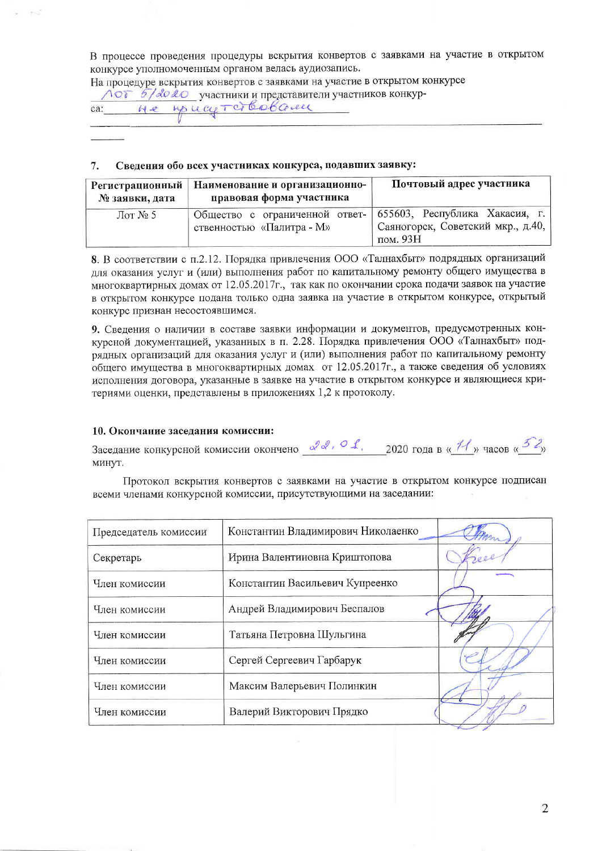В процессе проведения процедуры вскрытия конвертов с заявками на участие в открытом конкурсе уполномоченным органом велась аудиозапись.

На процедуре вскрытия конвертов с заявками на участие в открытом конкурсе ЛОТ 5/2020 участники и представители участников конкурca: He you current bobcome

#### Сведения обо всех участниках конкурса, подавших заявку:  $7.$

| Регистрационный  <br>№ заявки, дата | Наименование и организационно-<br>правовая форма участника  | Почтовый адрес участника                                                         |
|-------------------------------------|-------------------------------------------------------------|----------------------------------------------------------------------------------|
| $\pi N_2$ 5                         | Общество с ограниченной ответ-<br>ственностью «Палитра - М» | 1655603, Республика Хакасия, г.<br>Саяногорск, Советский мкр., д.40,<br>пом. 93Н |

8. В соответствии с п.2.12. Порядка привлечения ООО «Талнахбыт» подрядных организаций для оказания услуг и (или) выполнения работ по капитальному ремонту общего имущества в многоквартирных домах от 12.05.2017г., так как по окончании срока подачи заявок на участие в открытом конкурсе подана только одна заявка на участие в открытом конкурсе, открытый конкурс признан несостоявшимся.

9. Сведения о наличии в составе заявки информации и документов, предусмотренных конкурсной документацией, указанных в п. 2.28. Порядка привлечения ООО «Талнахбыт» подрядных организаций для оказания услуг и (или) выполнения работ по капитальному ремонту общего имущества в многоквартирных домах от 12.05.2017г., а также сведения об условиях исполнения договора, указанные в заявке на участие в открытом конкурсе и являющиеся критериями оценки, представлены в приложениях 1,2 к протоколу.

## 10. Окончание заседания комиссии:

| Заседание конкурсной комиссии окончено | 2020 года в « 11 » часов « $\frac{3}{x}$ |
|----------------------------------------|------------------------------------------|
| <b>MHHVT</b>                           |                                          |

Протокол вскрытия конвертов с заявками на участие в открытом конкурсе подписан всеми членами конкурсной комиссии, присутствующими на заседании:

| Председатель комиссии | Константин Владимирович Николаенко |  |
|-----------------------|------------------------------------|--|
| Секретарь             | Ирина Валентиновна Криштопова      |  |
| Член комиссии         | Константин Васильевич Купреенко    |  |
| Член комиссии         | Андрей Владимирович Беспалов       |  |
| Член комиссии         | Татьяна Петровна Шульгина          |  |
| Член комиссии         | Сергей Сергеевич Гарбарук          |  |
| Член комиссии         | Максим Валерьевич Полинкин         |  |
| Член комиссии         | Валерий Викторович Прядко          |  |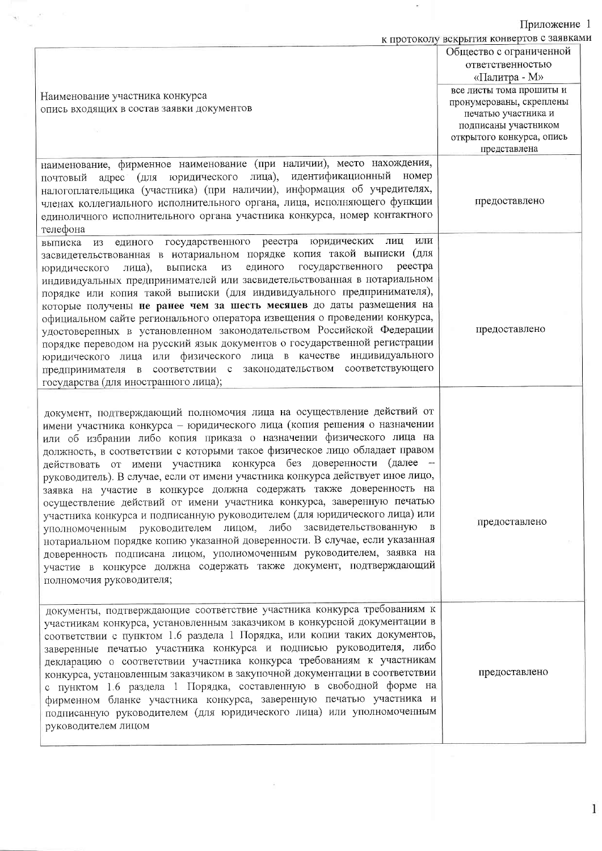Приложение 1<br>к протоколу вскрытия конвертов с заявками

 $\overline{\phantom{a}}$ 

|                                                                                                                                                                                                                                                                                                                                                                                                                                                                                                                                                                                                                                                                                                                                                                                                                                                                                                                                                                                                                          | N HPOTOROTY BORPBITHI ROHBOPTOD C SUMBRIES |
|--------------------------------------------------------------------------------------------------------------------------------------------------------------------------------------------------------------------------------------------------------------------------------------------------------------------------------------------------------------------------------------------------------------------------------------------------------------------------------------------------------------------------------------------------------------------------------------------------------------------------------------------------------------------------------------------------------------------------------------------------------------------------------------------------------------------------------------------------------------------------------------------------------------------------------------------------------------------------------------------------------------------------|--------------------------------------------|
|                                                                                                                                                                                                                                                                                                                                                                                                                                                                                                                                                                                                                                                                                                                                                                                                                                                                                                                                                                                                                          | Общество с ограниченной                    |
|                                                                                                                                                                                                                                                                                                                                                                                                                                                                                                                                                                                                                                                                                                                                                                                                                                                                                                                                                                                                                          | ответственностью                           |
|                                                                                                                                                                                                                                                                                                                                                                                                                                                                                                                                                                                                                                                                                                                                                                                                                                                                                                                                                                                                                          | «Палитра - М»                              |
|                                                                                                                                                                                                                                                                                                                                                                                                                                                                                                                                                                                                                                                                                                                                                                                                                                                                                                                                                                                                                          | все листы тома прошиты и                   |
| Наименование участника конкурса                                                                                                                                                                                                                                                                                                                                                                                                                                                                                                                                                                                                                                                                                                                                                                                                                                                                                                                                                                                          | пронумерованы, скреплены                   |
| опись входящих в состав заявки документов                                                                                                                                                                                                                                                                                                                                                                                                                                                                                                                                                                                                                                                                                                                                                                                                                                                                                                                                                                                | печатью участника и                        |
|                                                                                                                                                                                                                                                                                                                                                                                                                                                                                                                                                                                                                                                                                                                                                                                                                                                                                                                                                                                                                          | подписаны участником                       |
|                                                                                                                                                                                                                                                                                                                                                                                                                                                                                                                                                                                                                                                                                                                                                                                                                                                                                                                                                                                                                          | открытого конкурса, опись                  |
|                                                                                                                                                                                                                                                                                                                                                                                                                                                                                                                                                                                                                                                                                                                                                                                                                                                                                                                                                                                                                          | представлена                               |
| наименование, фирменное наименование (при наличии), место нахождения,<br>адрес (для юридического лица), идентификационный номер<br>почтовый<br>налогоплательщика (участника) (при наличии), информация об учредителях,<br>членах коллегиального исполнительного органа, лица, исполняющего функции<br>единоличного исполнительного органа участника конкурса, номер контактного<br>телефона                                                                                                                                                                                                                                                                                                                                                                                                                                                                                                                                                                                                                              | предоставлено                              |
| единого государственного реестра юридических лиц<br>выписка из<br>засвидетельствованная в нотариальном порядке копия такой выписки (для<br>единого<br>государственного<br>реестра<br>выписка из<br>лица),<br>юридического<br>индивидуальных предпринимателей или засвидетельствованная в нотариальном<br>порядке или копия такой выписки (для индивидуального предпринимателя),<br>которые получены не ранее чем за шесть месяцев до даты размещения на<br>официальном сайте регионального оператора извещения о проведении конкурса,<br>удостоверенных в установленном законодательством Российской Федерации<br>порядке переводом на русский язык документов о государственной регистрации<br>юридического лица или физического лица в качестве индивидуального<br>предпринимателя в соответствии с законодательством соответствующего<br>государства (для иностранного лица);                                                                                                                                         | ИЛИ<br>предоставлено                       |
| документ, подтверждающий полномочия лица на осуществление действий от<br>имени участника конкурса - юридического лица (копия решения о назначении<br>или об избрании либо копия приказа о назначении физического лица на<br>должность, в соответствии с которыми такое физическое лицо обладает правом<br>действовать от имени участника конкурса без доверенности (далее -<br>руководитель). В случае, если от имени участника конкурса действует иное лицо,<br>заявка на участие в конкурсе должна содержать также доверенность на<br>осуществление действий от имени участника конкурса, заверенную печатью<br>участника конкурса и подписанную руководителем (для юридического лица) или<br>уполномоченным руководителем лицом, либо засвидетельствованную<br>нотариальном порядке копию указанной доверенности. В случае, если указанная<br>доверенность подписана лицом, уполномоченным руководителем, заявка на<br>участие в конкурсе должна содержать также документ, подтверждающий<br>полномочия руководителя; | предоставлено                              |
| документы, подтверждающие соответствие участника конкурса требованиям к<br>участникам конкурса, установленным заказчиком в конкурсной документации в<br>соответствии с пунктом 1.6 раздела 1 Порядка, или копии таких документов,<br>заверенные печатью участника конкурса и подписью руководителя, либо<br>декларацию о соответствии участника конкурса требованиям к участникам<br>конкурса, установленным заказчиком в закупочной документации в соответствии<br>с пунктом 1.6 раздела 1 Порядка, составленную в свободной форме на<br>фирменном бланке участника конкурса, заверенную печатью участника и<br>подписанную руководителем (для юридического лица) или уполномоченным<br>руководителем лицом                                                                                                                                                                                                                                                                                                             | предоставлено                              |

 $\frac{1}{2}$ 

 $\mathbf{v}_{\rm{in}}$  .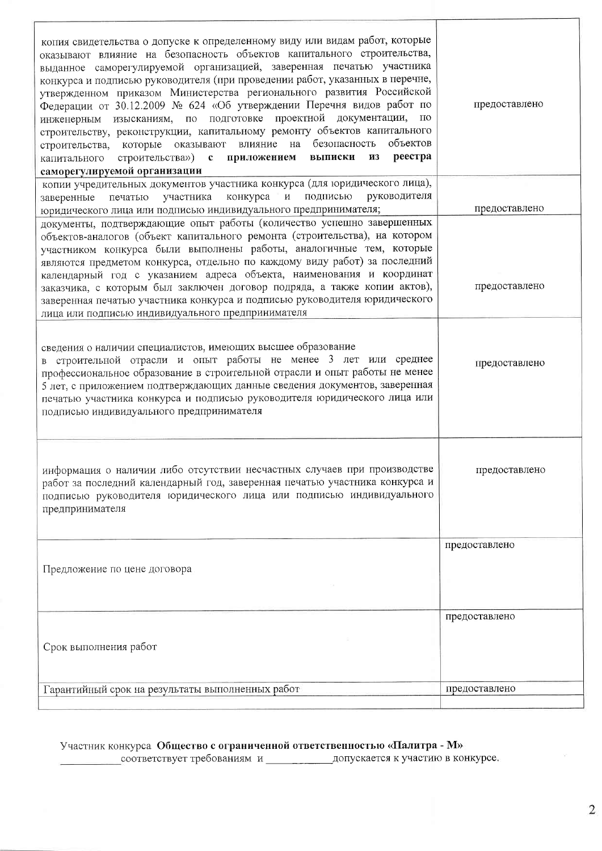| копия свидетельства о допуске к определенному виду или видам работ, которые<br>оказывают влияние на безопасность объектов капитального строительства,<br>выданное саморегулируемой организацией, заверенная печатью участника<br>конкурса и подписью руководителя (при проведении работ, указанных в перечне,<br>утвержденном приказом Министерства регионального развития Российской<br>Федерации от 30.12.2009 № 624 «Об утверждении Перечня видов работ по<br>подготовке проектной документации,<br>по<br>изысканиям, по<br>инженерным<br>строительству, реконструкции, капитальному ремонту объектов капитального<br>объектов<br>безопасность<br>влияние<br>на<br>оказывают<br>которые<br>строительства,<br>реестра<br>строительства»)<br>приложением<br>выписки<br>$\mathbf c$<br><b>ИЗ</b><br>капитального<br>саморегулируемой организации | предоставлено |
|--------------------------------------------------------------------------------------------------------------------------------------------------------------------------------------------------------------------------------------------------------------------------------------------------------------------------------------------------------------------------------------------------------------------------------------------------------------------------------------------------------------------------------------------------------------------------------------------------------------------------------------------------------------------------------------------------------------------------------------------------------------------------------------------------------------------------------------------------|---------------|
| копии учредительных документов участника конкурса (для юридического лица),<br>руководителя<br>подписью<br>конкурса<br>$\, {\bf N}$<br>печатью<br>участника<br>заверенные<br>юридического лица или подписью индивидуального предпринимателя;                                                                                                                                                                                                                                                                                                                                                                                                                                                                                                                                                                                                      | предоставлено |
| документы, подтверждающие опыт работы (количество успешно завершенных<br>объектов-аналогов (объект капитального ремонта (строительства), на котором<br>участником конкурса были выполнены работы, аналогичные тем, которые<br>являются предметом конкурса, отдельно по каждому виду работ) за последний<br>календарный год с указанием адреса объекта, наименования и координат<br>заказчика, с которым был заключен договор подряда, а также копии актов),<br>заверенная печатью участника конкурса и подписью руководителя юридического<br>лица или подписью индивидуального предпринимателя                                                                                                                                                                                                                                                   | предоставлено |
| сведения о наличии специалистов, имеющих высшее образование<br>в строительной отрасли и опыт работы не менее 3 лет или среднее<br>профессиональное образование в строительной отрасли и опыт работы не менее<br>5 лет, с приложением подтверждающих данные сведения документов, заверенная<br>печатью участника конкурса и подписью руководителя юридического лица или<br>подписью индивидуального предпринимателя                                                                                                                                                                                                                                                                                                                                                                                                                               | предоставлено |
| информация о наличии либо отсутствии несчастных случаев при производстве<br>работ за последний календарный год, заверенная печатью участника конкурса и<br>подписью руководителя юридического лица или подписью индивидуального<br>предпринимателя                                                                                                                                                                                                                                                                                                                                                                                                                                                                                                                                                                                               | предоставлено |
| Предложение по цене договора                                                                                                                                                                                                                                                                                                                                                                                                                                                                                                                                                                                                                                                                                                                                                                                                                     | предоставлено |
| Срок выполнения работ                                                                                                                                                                                                                                                                                                                                                                                                                                                                                                                                                                                                                                                                                                                                                                                                                            | предоставлено |
| Гарантийный срок на результаты выполненных работ                                                                                                                                                                                                                                                                                                                                                                                                                                                                                                                                                                                                                                                                                                                                                                                                 | предоставлено |

#